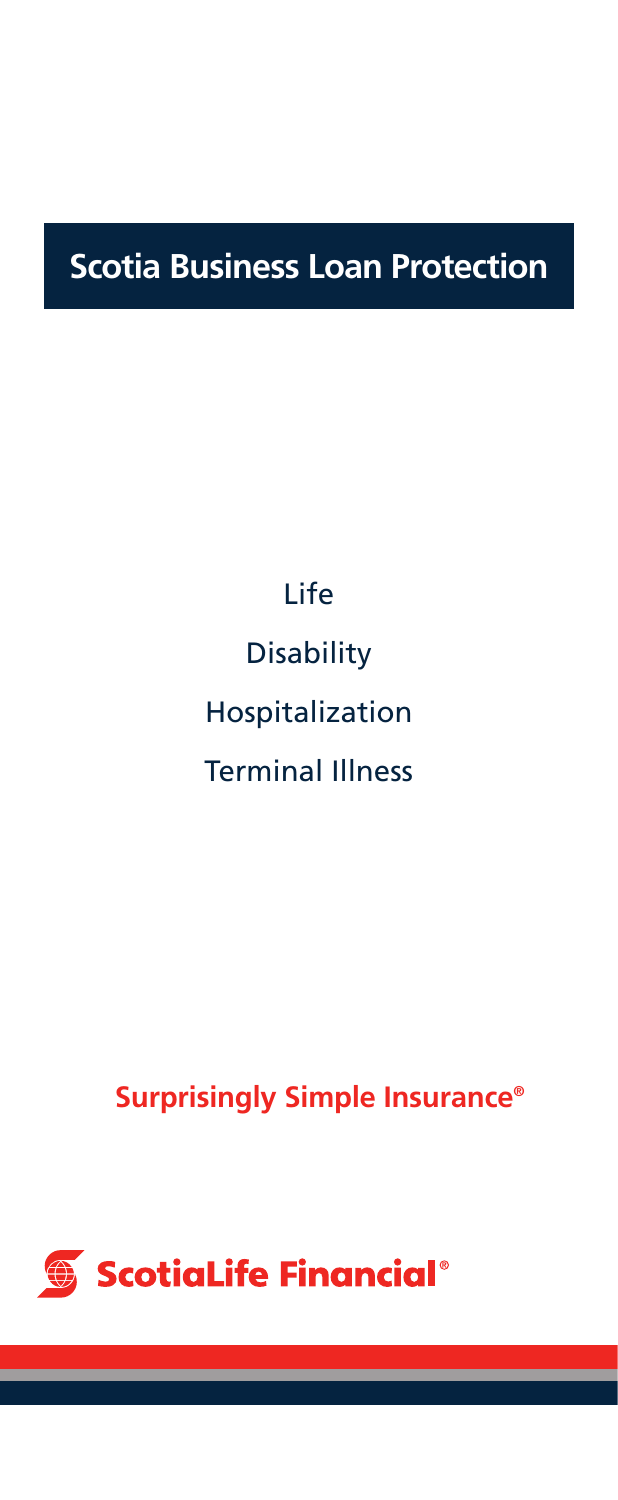## **Scotia Business Loan Protection**

## Life

**Disability** 

Hospitalization

## Terminal Illness

## **Surprisingly Simple Insurance®**

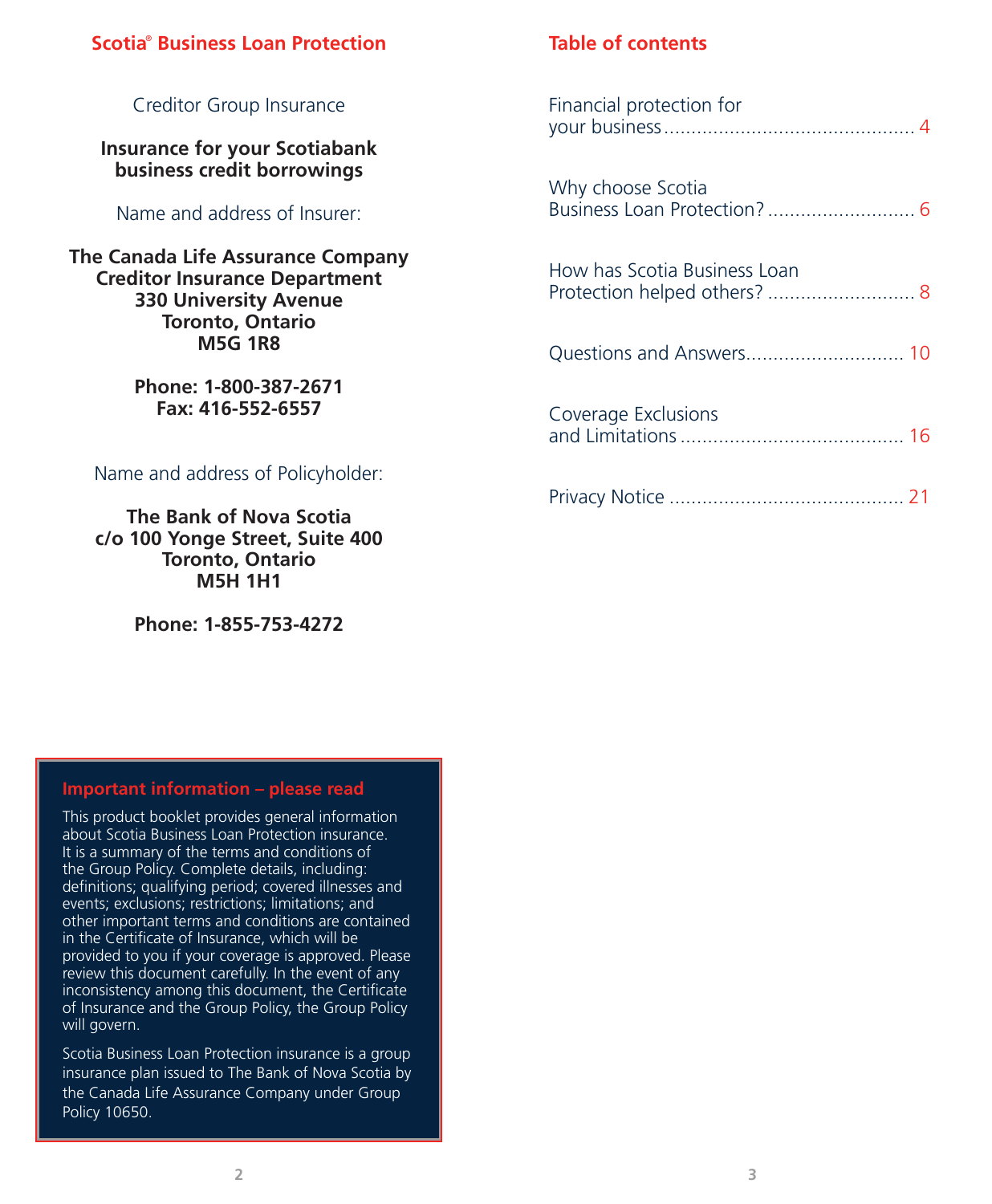#### **Scotia**®  **Business Loan Protection**

#### Financial protection for your business.............................................. 4 Why choose Scotia Business Loan Protection? ........................... 6 How has Scotia Business Loan Protection helped others? ........................... 8 Questions and Answers............................. 10 Coverage Exclusions and Limitations......................................... 16 Privacy Notice ........................................... 21 Creditor Group Insurance **Insurance for your Scotiabank business credit borrowings** Name and address of Insurer: **The Canada Life Assurance Company Creditor Insurance Department 330 University Avenue Toronto, Ontario M5G 1R8 Phone: 1-800-387-2671 Fax: 416-552-6557** Name and address of Policyholder: **The Bank of Nova Scotia c/o 100 Yonge Street, Suite 400**

**Table of contents**

#### **Important information – please read**

**Toronto, Ontario M5H 1H1**

**Phone: 1-855-753-4272**

This product booklet provides general information about Scotia Business Loan Protection insurance. It is a summary of the terms and conditions of the Group Policy. Complete details, including: definitions; qualifying period; covered illnesses and events; exclusions; restrictions; limitations; and other important terms and conditions are contained in the Certificate of Insurance, which will be provided to you if your coverage is approved. Please review this document carefully. In the event of any inconsistency among this document, the Certificate of Insurance and the Group Policy, the Group Policy will govern.

Scotia Business Loan Protection insurance is a group insurance plan issued to The Bank of Nova Scotia by the Canada Life Assurance Company under Group Policy 10650.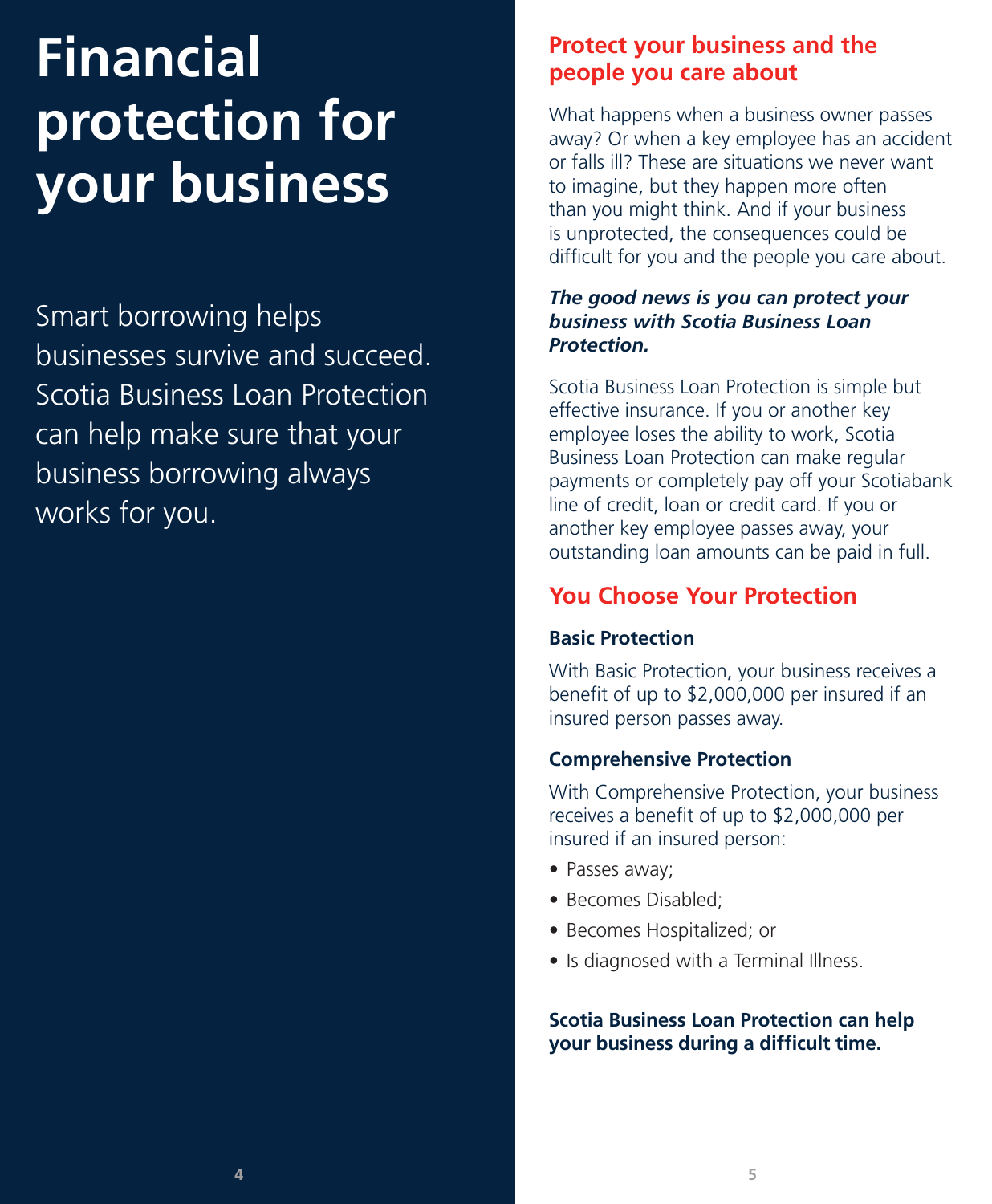# **Financial protection for your business**

Smart borrowing helps businesses survive and succeed. Scotia Business Loan Protection can help make sure that your business borrowing always works for you.

## **Protect your business and the people you care about**

What happens when a business owner passes away? Or when a key employee has an accident or falls ill? These are situations we never want to imagine, but they happen more often than you might think. And if your business is unprotected, the consequences could be difficult for you and the people you care about.

#### *The good news is you can protect your business with Scotia Business Loan Protection.*

Scotia Business Loan Protection is simple but effective insurance. If you or another key employee loses the ability to work, Scotia Business Loan Protection can make regular payments or completely pay off your Scotiabank line of credit, loan or credit card. If you or another key employee passes away, your outstanding loan amounts can be paid in full.

## **You Choose Your Protection**

## **Basic Protection**

With Basic Protection, your business receives a benefit of up to \$2,000,000 per insured if an insured person passes away.

## **Comprehensive Protection**

With Comprehensive Protection, your business receives a benefit of up to \$2,000,000 per insured if an insured person:

- Passes away;
- Becomes Disabled;
- Becomes Hospitalized; or
- Is diagnosed with a Terminal Illness.

**Scotia Business Loan Protection can help your business during a difficult time.**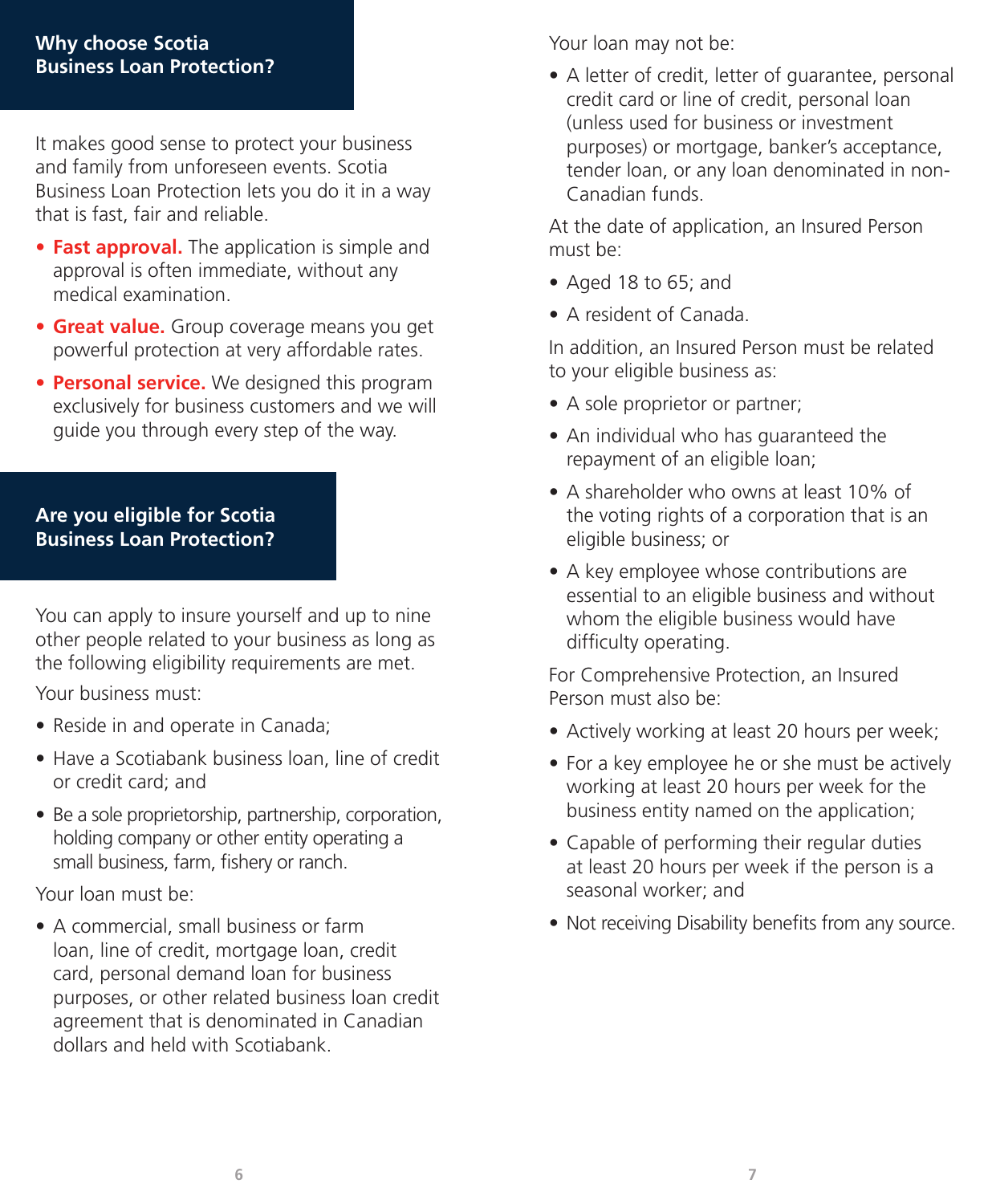#### **Why choose Scotia Business Loan Protection?**

It makes good sense to protect your business and family from unforeseen events. Scotia Business Loan Protection lets you do it in a way that is fast, fair and reliable.

- **• Fast approval.** The application is simple and approval is often immediate, without any medical examination.
- **• Great value.** Group coverage means you get powerful protection at very affordable rates.
- **• Personal service.** We designed this program exclusively for business customers and we will guide you through every step of the way.

#### **Are you eligible for Scotia Business Loan Protection?**

You can apply to insure yourself and up to nine other people related to your business as long as the following eligibility requirements are met.

Your business must:

- Reside in and operate in Canada;
- Have a Scotiabank business loan, line of credit or credit card; and
- Be a sole proprietorship, partnership, corporation, holding company or other entity operating a small business, farm, fishery or ranch.

Your loan must be:

• A commercial, small business or farm loan, line of credit, mortgage loan, credit card, personal demand loan for business purposes, or other related business loan credit agreement that is denominated in Canadian dollars and held with Scotiabank.

Your loan may not be:

• A letter of credit, letter of guarantee, personal credit card or line of credit, personal loan (unless used for business or investment purposes) or mortgage, banker's acceptance, tender loan, or any loan denominated in non-Canadian funds.

At the date of application, an Insured Person must be:

- Aged 18 to 65; and
- A resident of Canada.

In addition, an Insured Person must be related to your eligible business as:

- A sole proprietor or partner;
- An individual who has guaranteed the repayment of an eligible loan;
- A shareholder who owns at least 10% of the voting rights of a corporation that is an eligible business; or
- A key employee whose contributions are essential to an eligible business and without whom the eligible business would have difficulty operating.

For Comprehensive Protection, an Insured Person must also be:

- Actively working at least 20 hours per week;
- For a key employee he or she must be actively working at least 20 hours per week for the business entity named on the application;
- Capable of performing their regular duties at least 20 hours per week if the person is a seasonal worker; and
- Not receiving Disability benefits from any source.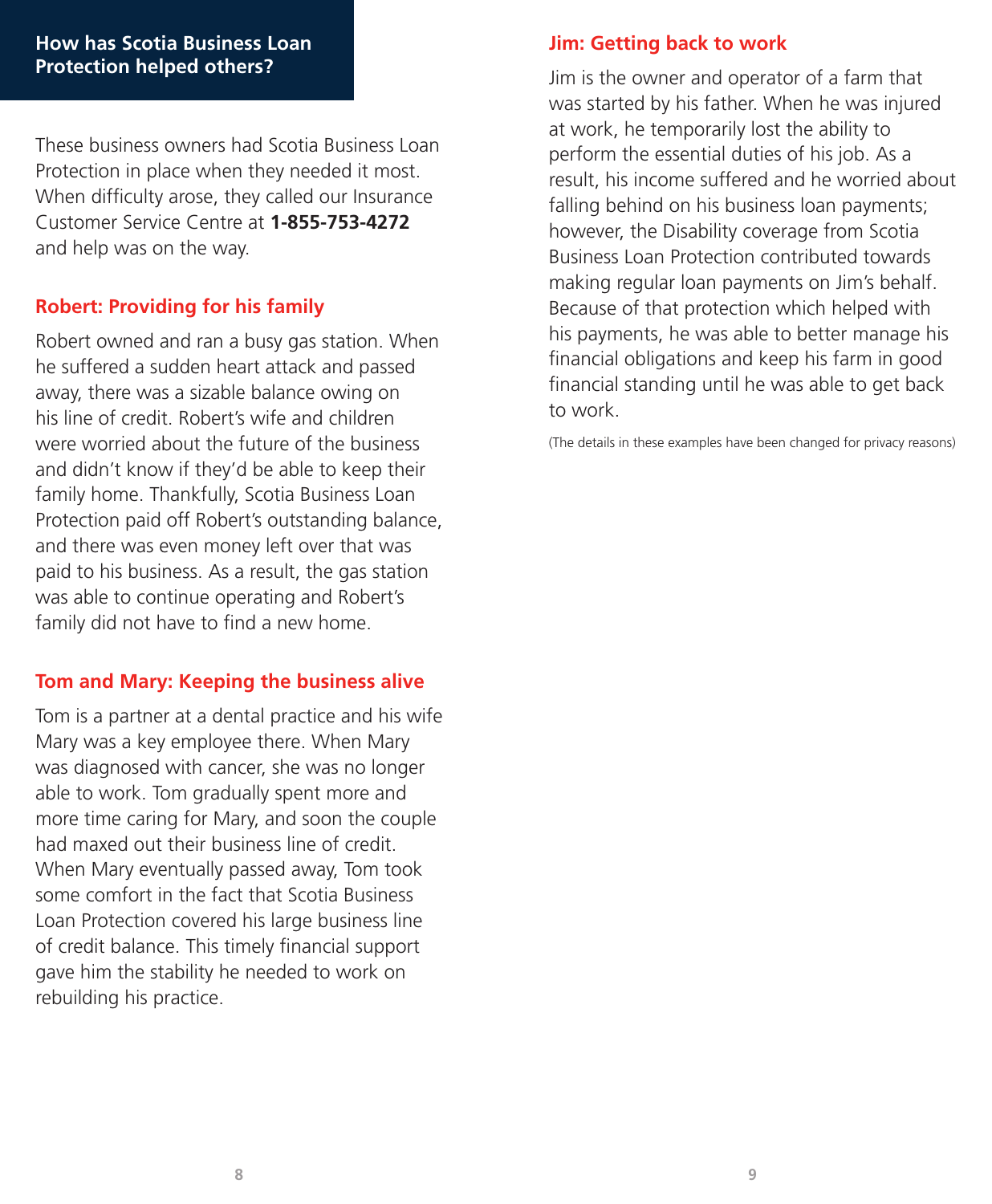These business owners had Scotia Business Loan Protection in place when they needed it most. When difficulty arose, they called our Insurance Customer Service Centre at **1-855-753-4272** and help was on the way.

## **Robert: Providing for his family**

Robert owned and ran a busy gas station. When he suffered a sudden heart attack and passed away, there was a sizable balance owing on his line of credit. Robert's wife and children were worried about the future of the business and didn't know if they'd be able to keep their family home. Thankfully, Scotia Business Loan Protection paid off Robert's outstanding balance, and there was even money left over that was paid to his business. As a result, the gas station was able to continue operating and Robert's family did not have to find a new home.

## **Tom and Mary: Keeping the business alive**

Tom is a partner at a dental practice and his wife Mary was a key employee there. When Mary was diagnosed with cancer, she was no longer able to work. Tom gradually spent more and more time caring for Mary, and soon the couple had maxed out their business line of credit. When Mary eventually passed away, Tom took some comfort in the fact that Scotia Business Loan Protection covered his large business line of credit balance. This timely financial support gave him the stability he needed to work on rebuilding his practice.

#### **Jim: Getting back to work**

Jim is the owner and operator of a farm that was started by his father. When he was injured at work, he temporarily lost the ability to perform the essential duties of his job. As a result, his income suffered and he worried about falling behind on his business loan payments; however, the Disability coverage from Scotia Business Loan Protection contributed towards making regular loan payments on Jim's behalf. Because of that protection which helped with his payments, he was able to better manage his financial obligations and keep his farm in good financial standing until he was able to get back to work.

(The details in these examples have been changed for privacy reasons)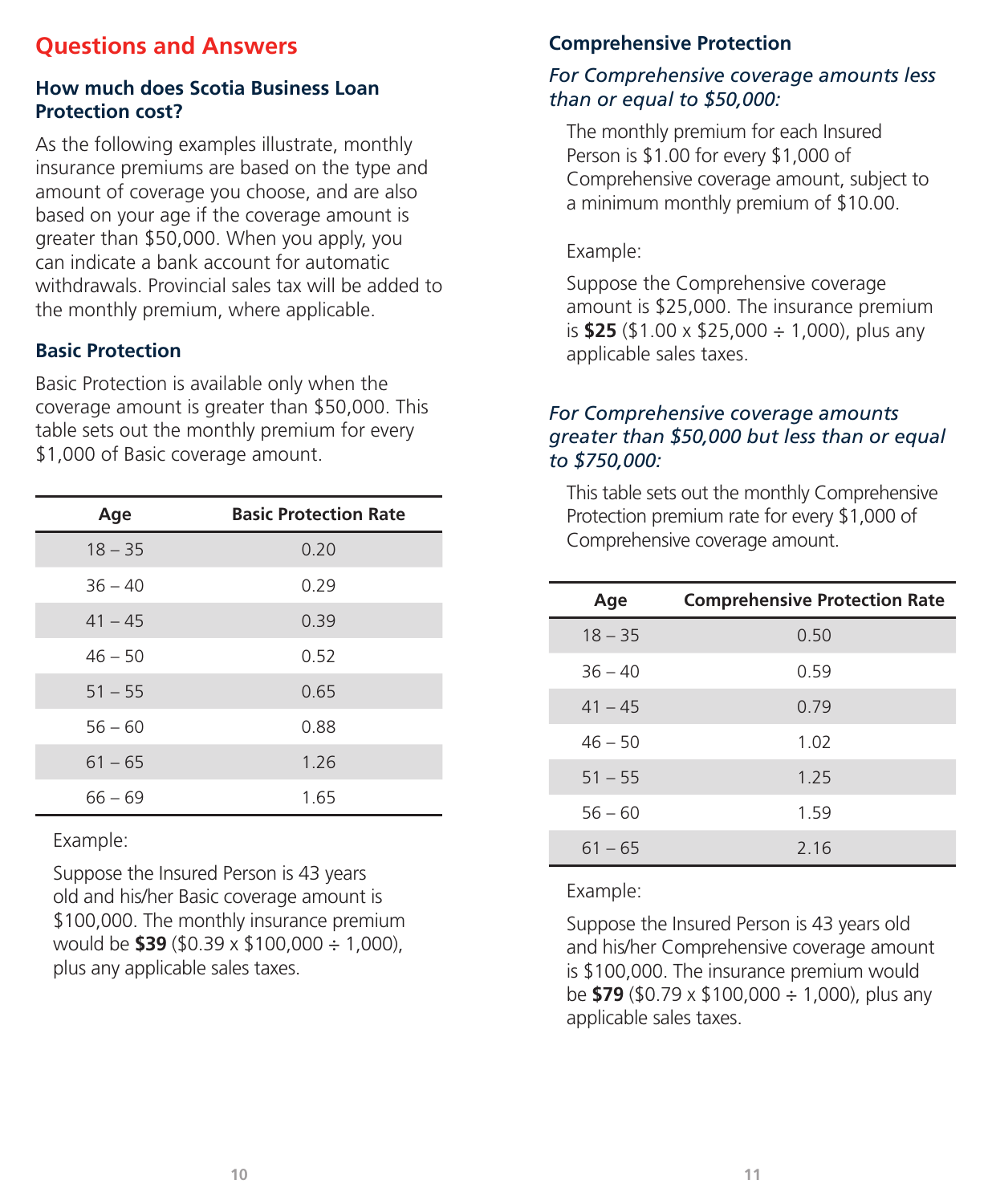## **Questions and Answers**

## **How much does Scotia Business Loan Protection cost?**

As the following examples illustrate, monthly insurance premiums are based on the type and amount of coverage you choose, and are also based on your age if the coverage amount is greater than \$50,000. When you apply, you can indicate a bank account for automatic withdrawals. Provincial sales tax will be added to the monthly premium, where applicable.

## **Basic Protection**

Basic Protection is available only when the coverage amount is greater than \$50,000. This table sets out the monthly premium for every \$1,000 of Basic coverage amount.

| Age       | <b>Basic Protection Rate</b> |  |
|-----------|------------------------------|--|
| $18 - 35$ | 0.20                         |  |
| $36 - 40$ | 0.29                         |  |
| $41 - 45$ | 0.39                         |  |
| $46 - 50$ | 0.52                         |  |
| $51 - 55$ | 0.65                         |  |
| $56 - 60$ | 0.88                         |  |
| $61 - 65$ | 1.26                         |  |
| $66 - 69$ | 1.65                         |  |

Example:

Suppose the Insured Person is 43 years old and his/her Basic coverage amount is \$100,000. The monthly insurance premium would be **\$39** (\$0.39 x \$100,000 ÷ 1,000), plus any applicable sales taxes.

## **Comprehensive Protection**

#### *For Comprehensive coverage amounts less than or equal to \$50,000:*

The monthly premium for each Insured Person is \$1.00 for every \$1,000 of Comprehensive coverage amount, subject to a minimum monthly premium of \$10.00.

## Example:

Suppose the Comprehensive coverage amount is \$25,000. The insurance premium is **\$25** (\$1.00 x \$25,000 ÷ 1,000), plus any applicable sales taxes.

#### *For Comprehensive coverage amounts greater than \$50,000 but less than or equal to \$750,000:*

This table sets out the monthly Comprehensive Protection premium rate for every \$1,000 of Comprehensive coverage amount.

| Age       | <b>Comprehensive Protection Rate</b> |  |
|-----------|--------------------------------------|--|
| $18 - 35$ | 0.50                                 |  |
| $36 - 40$ | 0.59                                 |  |
| $41 - 45$ | 0.79                                 |  |
| $46 - 50$ | 1.02                                 |  |
| $51 - 55$ | 1 25                                 |  |
| $56 - 60$ | 1.59                                 |  |
| $61 - 65$ | 2 16                                 |  |

## Example:

Suppose the Insured Person is 43 years old and his/her Comprehensive coverage amount is \$100,000. The insurance premium would be **\$79** (\$0.79 x \$100,000 ÷ 1,000), plus any applicable sales taxes.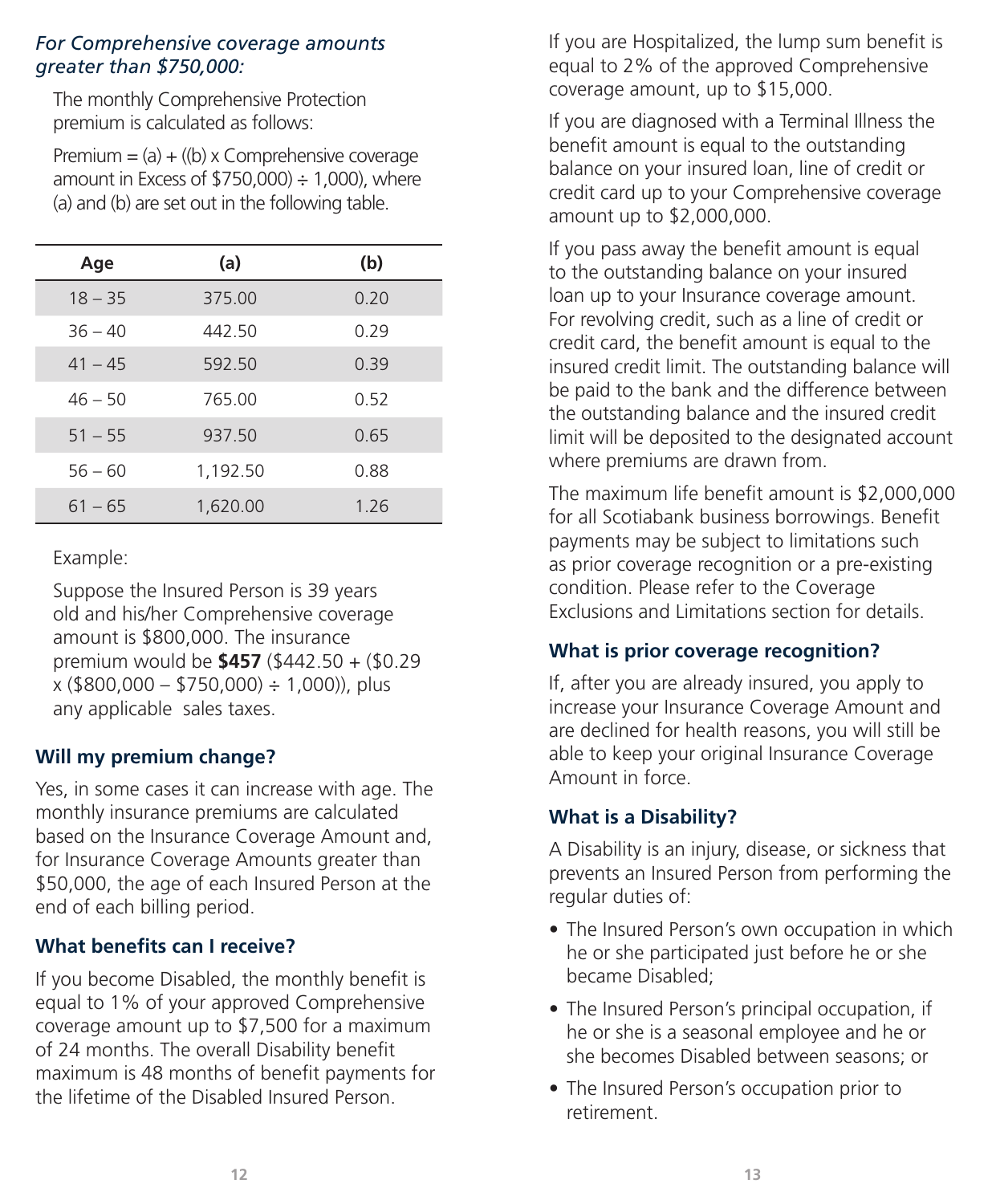#### *For Comprehensive coverage amounts greater than \$750,000:*

The monthly Comprehensive Protection premium is calculated as follows:

Premium  $=$  (a)  $+$  ((b) x Comprehensive coverage amount in Excess of  $$750,000$   $\div$  1,000), where (a) and (b) are set out in the following table.

| Age       | (a)      | (b)  |
|-----------|----------|------|
| $18 - 35$ | 375.00   | 0.20 |
| $36 - 40$ | 442 50   | 0.29 |
| $41 - 45$ | 592 50   | 0.39 |
| $46 - 50$ | 765.00   | 0.52 |
| $51 - 55$ | 937.50   | 0.65 |
| $56 - 60$ | 1,192.50 | 0.88 |
| $61 - 65$ | 1,620.00 | 1.26 |

Example:

Suppose the Insured Person is 39 years old and his/her Comprehensive coverage amount is \$800,000. The insurance premium would be **\$457** (\$442.50 + (\$0.29  $x$  (\$800,000 – \$750,000) ÷ 1,000)), plus any applicable sales taxes.

## **Will my premium change?**

Yes, in some cases it can increase with age. The monthly insurance premiums are calculated based on the Insurance Coverage Amount and, for Insurance Coverage Amounts greater than \$50,000, the age of each Insured Person at the end of each billing period.

## **What benefits can I receive?**

If you become Disabled, the monthly benefit is equal to 1% of your approved Comprehensive coverage amount up to \$7,500 for a maximum of 24 months. The overall Disability benefit maximum is 48 months of benefit payments for the lifetime of the Disabled Insured Person.

If you are Hospitalized, the lump sum benefit is equal to 2% of the approved Comprehensive coverage amount, up to \$15,000.

If you are diagnosed with a Terminal Illness the benefit amount is equal to the outstanding balance on your insured loan, line of credit or credit card up to your Comprehensive coverage amount up to \$2,000,000.

If you pass away the benefit amount is equal to the outstanding balance on your insured loan up to your Insurance coverage amount. For revolving credit, such as a line of credit or credit card, the benefit amount is equal to the insured credit limit. The outstanding balance will be paid to the bank and the difference between the outstanding balance and the insured credit limit will be deposited to the designated account where premiums are drawn from.

The maximum life benefit amount is \$2,000,000 for all Scotiabank business borrowings. Benefit payments may be subject to limitations such as prior coverage recognition or a pre-existing condition. Please refer to the Coverage Exclusions and Limitations section for details.

## **What is prior coverage recognition?**

If, after you are already insured, you apply to increase your Insurance Coverage Amount and are declined for health reasons, you will still be able to keep your original Insurance Coverage Amount in force.

## **What is a Disability?**

A Disability is an injury, disease, or sickness that prevents an Insured Person from performing the regular duties of:

- The Insured Person's own occupation in which he or she participated just before he or she became Disabled;
- The Insured Person's principal occupation, if he or she is a seasonal employee and he or she becomes Disabled between seasons; or
- The Insured Person's occupation prior to retirement.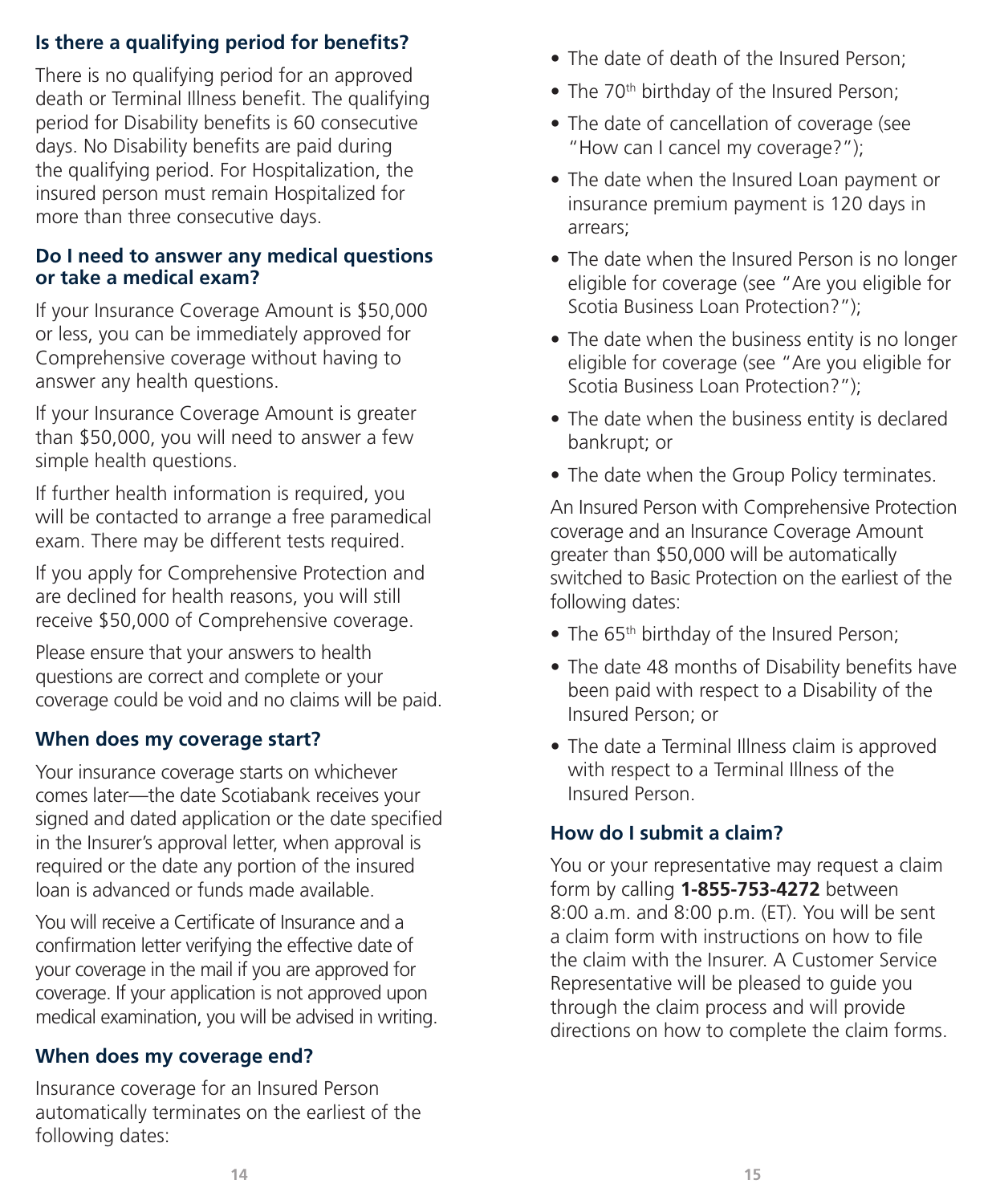## **Is there a qualifying period for benefits?**

There is no qualifying period for an approved death or Terminal Illness benefit. The qualifying period for Disability benefits is 60 consecutive days. No Disability benefits are paid during the qualifying period. For Hospitalization, the insured person must remain Hospitalized for more than three consecutive days.

#### **Do I need to answer any medical questions or take a medical exam?**

If your Insurance Coverage Amount is \$50,000 or less, you can be immediately approved for Comprehensive coverage without having to answer any health questions.

If your Insurance Coverage Amount is greater than \$50,000, you will need to answer a few simple health questions.

If further health information is required, you will be contacted to arrange a free paramedical exam. There may be different tests required.

If you apply for Comprehensive Protection and are declined for health reasons, you will still receive \$50,000 of Comprehensive coverage.

Please ensure that your answers to health questions are correct and complete or your coverage could be void and no claims will be paid.

## **When does my coverage start?**

Your insurance coverage starts on whichever comes later—the date Scotiabank receives your signed and dated application or the date specified in the Insurer's approval letter, when approval is required or the date any portion of the insured loan is advanced or funds made available.

You will receive a Certificate of Insurance and a confirmation letter verifying the effective date of your coverage in the mail if you are approved for coverage. If your application is not approved upon medical examination, you will be advised in writing.

## **When does my coverage end?**

Insurance coverage for an Insured Person automatically terminates on the earliest of the following dates:

- The date of death of the Insured Person;
- The 70<sup>th</sup> birthday of the Insured Person;
- The date of cancellation of coverage (see "How can I cancel my coverage?");
- The date when the Insured Loan payment or insurance premium payment is 120 days in arrears;
- The date when the Insured Person is no longer eligible for coverage (see "Are you eligible for Scotia Business Loan Protection?");
- The date when the business entity is no longer eligible for coverage (see "Are you eligible for Scotia Business Loan Protection?");
- The date when the business entity is declared bankrupt; or
- The date when the Group Policy terminates.

An Insured Person with Comprehensive Protection coverage and an Insurance Coverage Amount greater than \$50,000 will be automatically switched to Basic Protection on the earliest of the following dates:

- The 65<sup>th</sup> birthday of the Insured Person;
- The date 48 months of Disability benefits have been paid with respect to a Disability of the Insured Person; or
- The date a Terminal Illness claim is approved with respect to a Terminal Illness of the Insured Person.

## **How do I submit a claim?**

You or your representative may request a claim form by calling **1-855-753-4272** between 8:00 a.m. and 8:00 p.m. (ET). You will be sent a claim form with instructions on how to file the claim with the Insurer. A Customer Service Representative will be pleased to guide you through the claim process and will provide directions on how to complete the claim forms.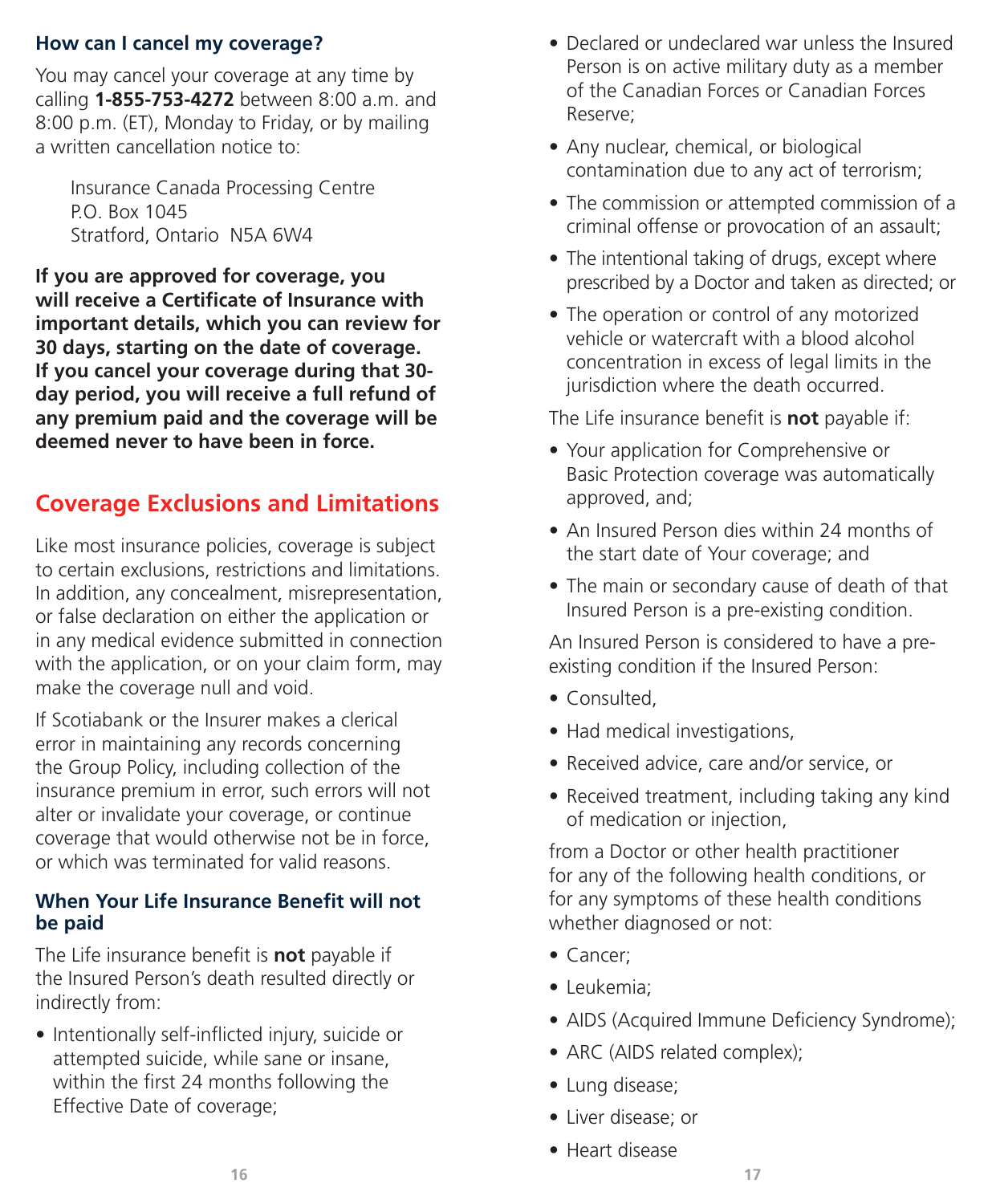#### **How can I cancel my coverage?**

You may cancel your coverage at any time by calling **1-855-753-4272** between 8:00 a.m. and 8:00 p.m. (ET), Monday to Friday, or by mailing a written cancellation notice to:

Insurance Canada Processing Centre P.O. Box 1045 Stratford, Ontario N5A 6W4

**If you are approved for coverage, you will receive a Certificate of Insurance with important details, which you can review for 30 days, starting on the date of coverage. If you cancel your coverage during that 30 day period, you will receive a full refund of any premium paid and the coverage will be deemed never to have been in force.**

## **Coverage Exclusions and Limitations**

Like most insurance policies, coverage is subject to certain exclusions, restrictions and limitations. In addition, any concealment, misrepresentation, or false declaration on either the application or in any medical evidence submitted in connection with the application, or on your claim form, may make the coverage null and void.

If Scotiabank or the Insurer makes a clerical error in maintaining any records concerning the Group Policy, including collection of the insurance premium in error, such errors will not alter or invalidate your coverage, or continue coverage that would otherwise not be in force, or which was terminated for valid reasons.

#### **When Your Life Insurance Benefit will not be paid**

The Life insurance benefit is **not** payable if the Insured Person's death resulted directly or indirectly from:

• Intentionally self-inflicted injury, suicide or attempted suicide, while sane or insane, within the first 24 months following the Effective Date of coverage;

- Declared or undeclared war unless the Insured Person is on active military duty as a member of the Canadian Forces or Canadian Forces Reserve;
- Any nuclear, chemical, or biological contamination due to any act of terrorism;
- The commission or attempted commission of a criminal offense or provocation of an assault;
- The intentional taking of drugs, except where prescribed by a Doctor and taken as directed; or
- The operation or control of any motorized vehicle or watercraft with a blood alcohol concentration in excess of legal limits in the jurisdiction where the death occurred.

The Life insurance benefit is **not** payable if:

- Your application for Comprehensive or Basic Protection coverage was automatically approved, and;
- An Insured Person dies within 24 months of the start date of Your coverage; and
- The main or secondary cause of death of that Insured Person is a pre-existing condition.

An Insured Person is considered to have a preexisting condition if the Insured Person:

- Consulted,
- Had medical investigations,
- Received advice, care and/or service, or
- Received treatment, including taking any kind of medication or injection,

from a Doctor or other health practitioner for any of the following health conditions, or for any symptoms of these health conditions whether diagnosed or not:

- Cancer;
- Leukemia;
- AIDS (Acquired Immune Deficiency Syndrome);
- ARC (AIDS related complex);
- Lung disease;
- Liver disease; or
- Heart disease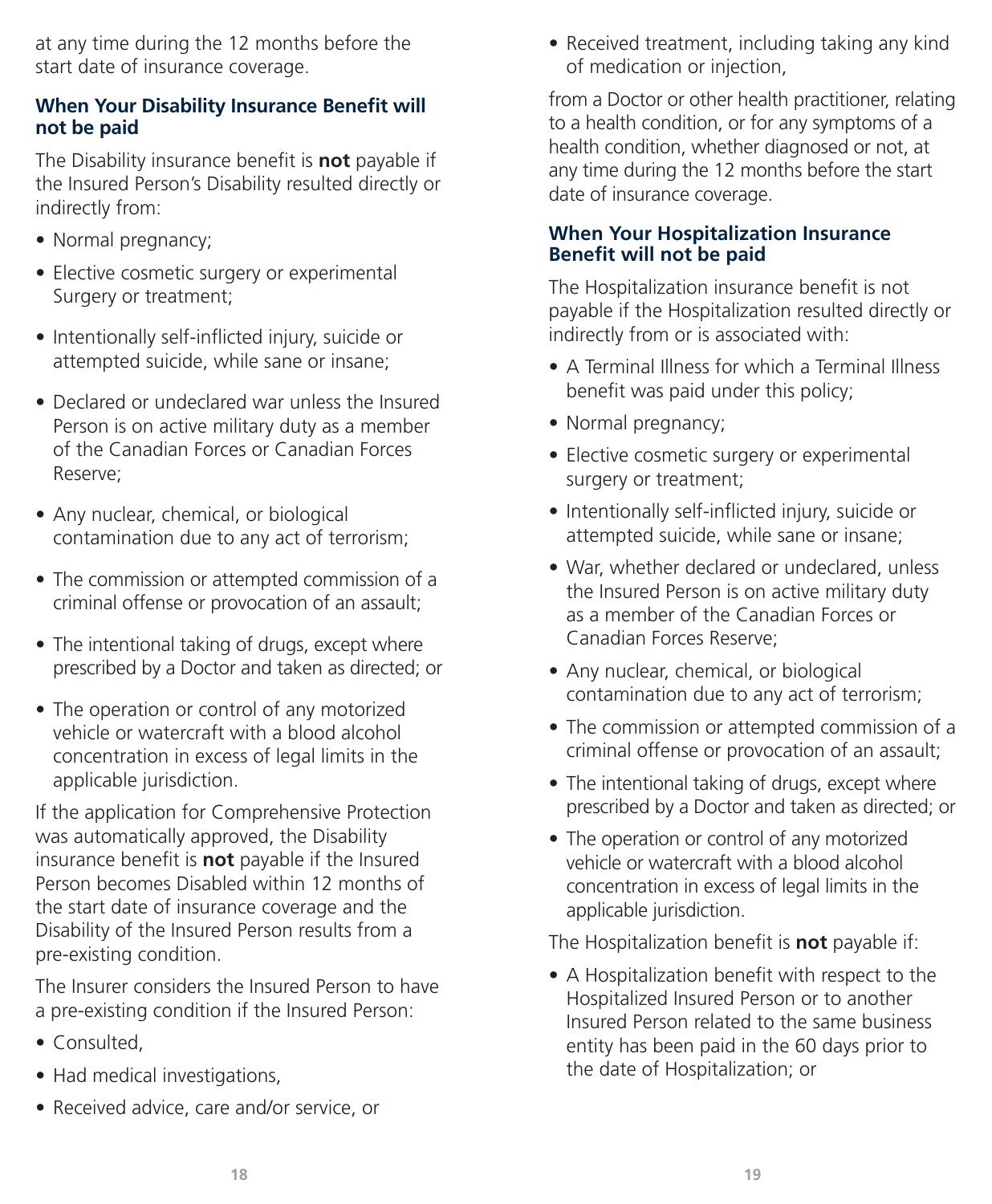at any time during the 12 months before the start date of insurance coverage.

#### **When Your Disability Insurance Benefit will not be paid**

The Disability insurance benefit is **not** payable if the Insured Person's Disability resulted directly or indirectly from:

- Normal pregnancy;
- Elective cosmetic surgery or experimental Surgery or treatment;
- Intentionally self-inflicted injury, suicide or attempted suicide, while sane or insane;
- Declared or undeclared war unless the Insured Person is on active military duty as a member of the Canadian Forces or Canadian Forces Reserve;
- Any nuclear, chemical, or biological contamination due to any act of terrorism;
- The commission or attempted commission of a criminal offense or provocation of an assault;
- The intentional taking of drugs, except where prescribed by a Doctor and taken as directed; or
- The operation or control of any motorized vehicle or watercraft with a blood alcohol concentration in excess of legal limits in the applicable jurisdiction.

If the application for Comprehensive Protection was automatically approved, the Disability insurance benefit is **not** payable if the Insured Person becomes Disabled within 12 months of the start date of insurance coverage and the Disability of the Insured Person results from a pre-existing condition.

The Insurer considers the Insured Person to have a pre-existing condition if the Insured Person:

- Consulted,
- Had medical investigations,
- Received advice, care and/or service, or

• Received treatment, including taking any kind of medication or injection,

from a Doctor or other health practitioner, relating to a health condition, or for any symptoms of a health condition, whether diagnosed or not, at any time during the 12 months before the start date of insurance coverage.

#### **When Your Hospitalization Insurance Benefit will not be paid**

The Hospitalization insurance benefit is not payable if the Hospitalization resulted directly or indirectly from or is associated with:

- A Terminal Illness for which a Terminal Illness benefit was paid under this policy;
- Normal pregnancy;
- Elective cosmetic surgery or experimental surgery or treatment;
- Intentionally self-inflicted injury, suicide or attempted suicide, while sane or insane;
- War, whether declared or undeclared, unless the Insured Person is on active military duty as a member of the Canadian Forces or Canadian Forces Reserve;
- Any nuclear, chemical, or biological contamination due to any act of terrorism;
- The commission or attempted commission of a criminal offense or provocation of an assault;
- The intentional taking of drugs, except where prescribed by a Doctor and taken as directed; or
- The operation or control of any motorized vehicle or watercraft with a blood alcohol concentration in excess of legal limits in the applicable jurisdiction.

The Hospitalization benefit is **not** payable if:

• A Hospitalization benefit with respect to the Hospitalized Insured Person or to another Insured Person related to the same business entity has been paid in the 60 days prior to the date of Hospitalization; or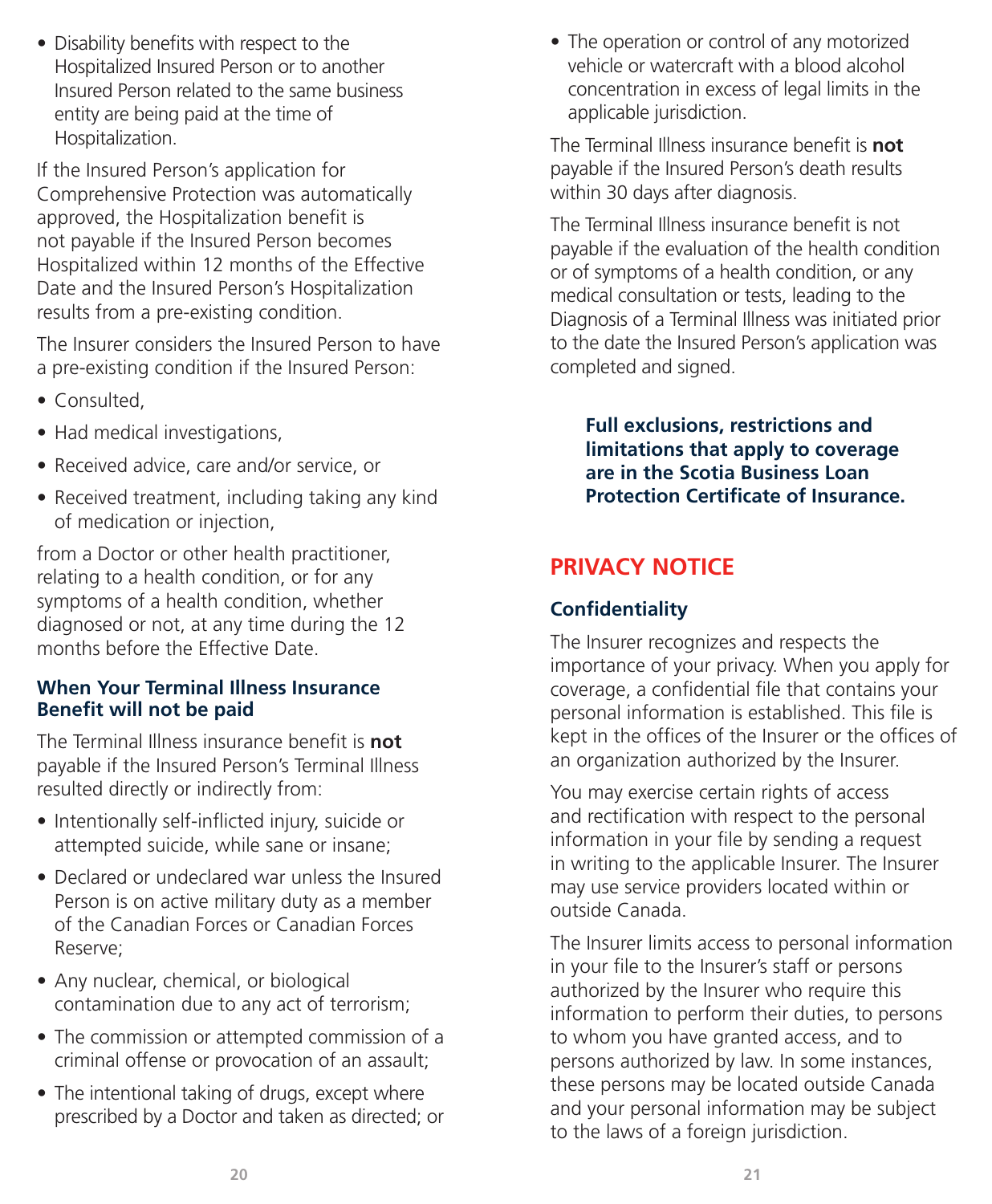• Disability benefits with respect to the Hospitalized Insured Person or to another Insured Person related to the same business entity are being paid at the time of Hospitalization.

If the Insured Person's application for Comprehensive Protection was automatically approved, the Hospitalization benefit is not payable if the Insured Person becomes Hospitalized within 12 months of the Effective Date and the Insured Person's Hospitalization results from a pre-existing condition.

The Insurer considers the Insured Person to have a pre-existing condition if the Insured Person:

- Consulted,
- Had medical investigations,
- Received advice, care and/or service, or
- Received treatment, including taking any kind of medication or injection,

from a Doctor or other health practitioner, relating to a health condition, or for any symptoms of a health condition, whether diagnosed or not, at any time during the 12 months before the Effective Date.

#### **When Your Terminal Illness Insurance Benefit will not be paid**

The Terminal Illness insurance benefit is **not** payable if the Insured Person's Terminal Illness resulted directly or indirectly from:

- Intentionally self-inflicted injury, suicide or attempted suicide, while sane or insane;
- Declared or undeclared war unless the Insured Person is on active military duty as a member of the Canadian Forces or Canadian Forces Reserve;
- Any nuclear, chemical, or biological contamination due to any act of terrorism;
- The commission or attempted commission of a criminal offense or provocation of an assault;
- The intentional taking of drugs, except where prescribed by a Doctor and taken as directed; or

• The operation or control of any motorized vehicle or watercraft with a blood alcohol concentration in excess of legal limits in the applicable jurisdiction.

The Terminal Illness insurance benefit is **not** payable if the Insured Person's death results within 30 days after diagnosis.

The Terminal Illness insurance benefit is not payable if the evaluation of the health condition or of symptoms of a health condition, or any medical consultation or tests, leading to the Diagnosis of a Terminal Illness was initiated prior to the date the Insured Person's application was completed and signed.

**Full exclusions, restrictions and limitations that apply to coverage are in the Scotia Business Loan Protection Certificate of Insurance.**

## **PRIVACY NOTICE**

#### **Confidentiality**

The Insurer recognizes and respects the importance of your privacy. When you apply for coverage, a confidential file that contains your personal information is established. This file is kept in the offices of the Insurer or the offices of an organization authorized by the Insurer.

You may exercise certain rights of access and rectification with respect to the personal information in your file by sending a request in writing to the applicable Insurer. The Insurer may use service providers located within or outside Canada.

The Insurer limits access to personal information in your file to the Insurer's staff or persons authorized by the Insurer who require this information to perform their duties, to persons to whom you have granted access, and to persons authorized by law. In some instances, these persons may be located outside Canada and your personal information may be subject to the laws of a foreign jurisdiction.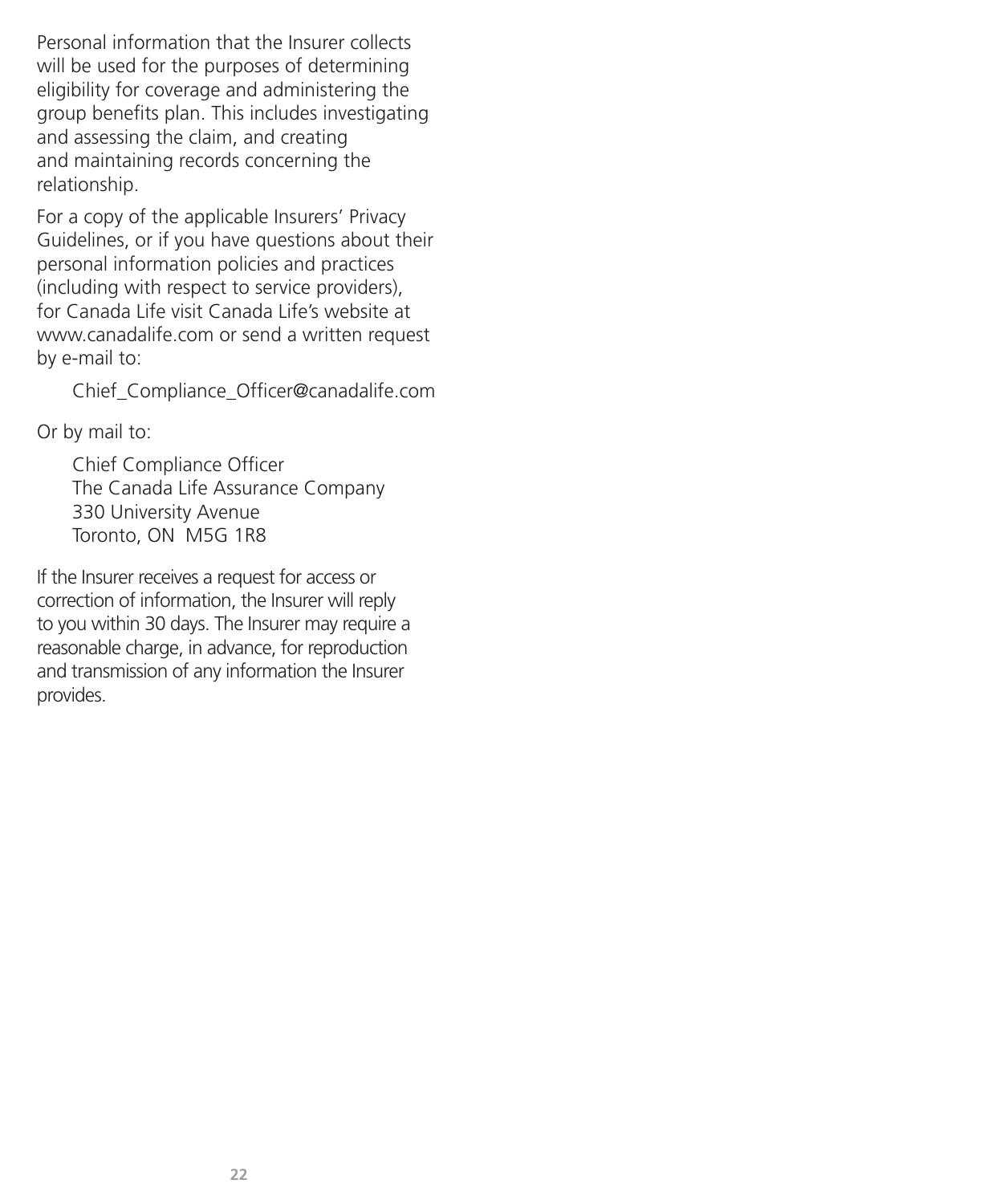Personal information that the Insurer collects will be used for the purposes of determining eligibility for coverage and administering the group benefits plan. This includes investigating and assessing the claim, and creating and maintaining records concerning the relationship.

For a copy of the applicable Insurers' Privacy Guidelines, or if you have questions about their personal information policies and practices (including with respect to service providers), for Canada Life visit Canada Life's website at www.canadalife.com or send a written request by e-mail to:

Chief\_Compliance\_Officer@canadalife.com

Or by mail to:

Chief Compliance Officer The Canada Life Assurance Company 330 University Avenue Toronto, ON M5G 1R8

If the Insurer receives a request for access or correction of information, the Insurer will reply to you within 30 days. The Insurer may require a reasonable charge, in advance, for reproduction and transmission of any information the Insurer provides.